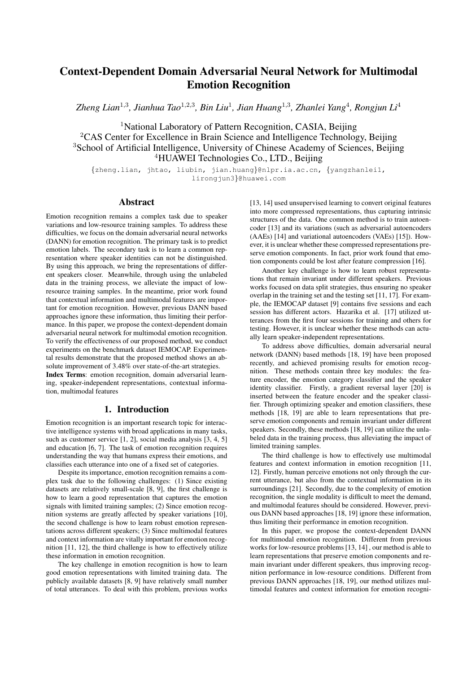# Context-Dependent Domain Adversarial Neural Network for Multimodal Emotion Recognition

*Zheng Lian*<sup>1</sup>,<sup>3</sup> *, Jianhua Tao*<sup>1</sup>,2,<sup>3</sup> *, Bin Liu*<sup>1</sup> *, Jian Huang*<sup>1</sup>,<sup>3</sup> *, Zhanlei Yang*<sup>4</sup> *, Rongjun Li*<sup>4</sup>

<sup>1</sup>National Laboratory of Pattern Recognition, CASIA, Beijing <sup>2</sup>CAS Center for Excellence in Brain Science and Intelligence Technology, Beijing <sup>3</sup>School of Artificial Intelligence, University of Chinese Academy of Sciences, Beijing <sup>4</sup>HUAWEI Technologies Co., LTD., Beijing

{zheng.lian, jhtao, liubin, jian.huang}@nlpr.ia.ac.cn, {yangzhanlei1, lirongjun3}@huawei.com

# Abstract

Emotion recognition remains a complex task due to speaker variations and low-resource training samples. To address these difficulties, we focus on the domain adversarial neural networks (DANN) for emotion recognition. The primary task is to predict emotion labels. The secondary task is to learn a common representation where speaker identities can not be distinguished. By using this approach, we bring the representations of different speakers closer. Meanwhile, through using the unlabeled data in the training process, we alleviate the impact of lowresource training samples. In the meantime, prior work found that contextual information and multimodal features are important for emotion recognition. However, previous DANN based approaches ignore these information, thus limiting their performance. In this paper, we propose the context-dependent domain adversarial neural network for multimodal emotion recognition. To verify the effectiveness of our proposed method, we conduct experiments on the benchmark dataset IEMOCAP. Experimental results demonstrate that the proposed method shows an absolute improvement of 3.48% over state-of-the-art strategies.

Index Terms: emotion recognition, domain adversarial learning, speaker-independent representations, contextual information, multimodal features

# 1. Introduction

Emotion recognition is an important research topic for interactive intelligence systems with broad applications in many tasks, such as customer service [1, 2], social media analysis [3, 4, 5] and education [6, 7]. The task of emotion recognition requires understanding the way that humans express their emotions, and classifies each utterance into one of a fixed set of categories.

Despite its importance, emotion recognition remains a complex task due to the following challenges: (1) Since existing datasets are relatively small-scale [8, 9], the first challenge is how to learn a good representation that captures the emotion signals with limited training samples; (2) Since emotion recognition systems are greatly affected by speaker variations [10], the second challenge is how to learn robust emotion representations across different speakers; (3) Since multimodal features and context information are vitally important for emotion recognition [11, 12], the third challenge is how to effectively utilize these information in emotion recognition.

The key challenge in emotion recognition is how to learn good emotion representations with limited training data. The publicly available datasets [8, 9] have relatively small number of total utterances. To deal with this problem, previous works

[13, 14] used unsupervised learning to convert original features into more compressed representations, thus capturing intrinsic structures of the data. One common method is to train autoencoder [13] and its variations (such as adversarial autoencoders (AAEs) [14] and variational autoencoders (VAEs) [15]). However, it is unclear whether these compressed representations preserve emotion components. In fact, prior work found that emotion components could be lost after feature compression [16].

Another key challenge is how to learn robust representations that remain invariant under different speakers. Previous works focused on data split strategies, thus ensuring no speaker overlap in the training set and the testing set [11, 17]. For example, the IEMOCAP dataset [9] contains five sessions and each session has different actors. Hazarika et al. [17] utilized utterances from the first four sessions for training and others for testing. However, it is unclear whether these methods can actually learn speaker-independent representations.

To address above difficulties, domain adversarial neural network (DANN) based methods [18, 19] have been proposed recently, and achieved promising results for emotion recognition. These methods contain three key modules: the feature encoder, the emotion category classifier and the speaker identity classifier. Firstly, a gradient reversal layer [20] is inserted between the feature encoder and the speaker classifier. Through optimizing speaker and emotion classifiers, these methods [18, 19] are able to learn representations that preserve emotion components and remain invariant under different speakers. Secondly, these methods [18, 19] can utilize the unlabeled data in the training process, thus alleviating the impact of limited training samples.

The third challenge is how to effectively use multimodal features and context information in emotion recognition [11, 12]. Firstly, human perceive emotions not only through the current utterance, but also from the contextual information in its surroundings [21]. Secondly, due to the complexity of emotion recognition, the single modality is difficult to meet the demand, and multimodal features should be considered. However, previous DANN based approaches [18, 19] ignore these information, thus limiting their performance in emotion recognition.

In this paper, we propose the context-dependent DANN for multimodal emotion recognition. Different from previous works for low-resource problems [13, 14] , our method is able to learn representations that preserve emotion components and remain invariant under different speakers, thus improving recognition performance in low-resource conditions. Different from previous DANN approaches [18, 19], our method utilizes multimodal features and context information for emotion recogni-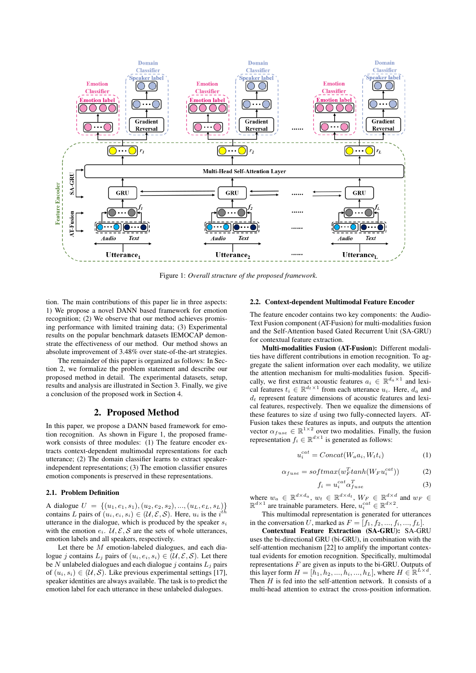

Figure 1: *Overall structure of the proposed framework.*

tion. The main contributions of this paper lie in three aspects: 1) We propose a novel DANN based framework for emotion recognition; (2) We observe that our method achieves promising performance with limited training data; (3) Experimental results on the popular benchmark datasets IEMOCAP demonstrate the effectiveness of our method. Our method shows an absolute improvement of 3.48% over state-of-the-art strategies.

The remainder of this paper is organized as follows: In Section 2, we formalize the problem statement and describe our proposed method in detail. The experimental datasets, setup, results and analysis are illustrated in Section 3. Finally, we give a conclusion of the proposed work in Section 4.

## 2. Proposed Method

In this paper, we propose a DANN based framework for emotion recognition. As shown in Figure 1, the proposed framework consists of three modules: (1) The feature encoder extracts context-dependent multimodal representations for each utterance; (2) The domain classifier learns to extract speakerindependent representations; (3) The emotion classifier ensures emotion components is preserved in these representations.

#### 2.1. Problem Definition

A dialogue  $U = \{(u_1, e_1, s_1), (u_2, e_2, s_2), ..., (u_L, e_L, s_L)\}\$ contains L pairs of  $(u_i, e_i, s_i) \in (\mathcal{U}, \mathcal{E}, \mathcal{S})$ . Here,  $u_i$  is the  $i^{th}$ utterance in the dialogue, which is produced by the speaker  $s_i$ with the emotion  $e_i$ .  $\mathcal{U}, \mathcal{E}, \mathcal{S}$  are the sets of whole utterances, emotion labels and all speakers, respectively.

Let there be M emotion-labeled dialogues, and each dialogue j contains  $L_i$  pairs of  $(u_i, e_i, s_i) \in (\mathcal{U}, \mathcal{E}, \mathcal{S})$ . Let there be N unlabeled dialogues and each dialogue j contains  $L_i$  pairs of  $(u_i, s_i) \in (\mathcal{U}, \mathcal{S})$ . Like previous experimental settings [17], speaker identities are always available. The task is to predict the emotion label for each utterance in these unlabeled dialogues.

#### 2.2. Context-dependent Multimodal Feature Encoder

The feature encoder contains two key components: the Audio-Text Fusion component (AT-Fusion) for multi-modalities fusion and the Self-Attention based Gated Recurrent Unit (SA-GRU) for contextual feature extraction.

Multi-modalities Fusion (AT-Fusion): Different modalities have different contributions in emotion recognition. To aggregate the salient information over each modality, we utilize the attention mechanism for multi-modalities fusion. Specifically, we first extract acoustic features  $a_i \in \mathbb{R}^{d_a \times 1}$  and lexical features  $t_i \in \mathbb{R}^{d_t \times 1}$  from each utterance  $u_i$ . Here,  $d_a$  and  $d_t$  represent feature dimensions of acoustic features and lexical features, respectively. Then we equalize the dimensions of these features to size  $d$  using two fully-connected layers. AT-Fusion takes these features as inputs, and outputs the attention vector  $\alpha_{fuse} \in \mathbb{R}^{1 \times 2}$  over two modalities. Finally, the fusion representation  $f_i \in \mathbb{R}^{d \times 1}$  is generated as follows:

$$
u_i^{cat} = Concat(W_a a_i, W_t t_i)
$$
 (1)

$$
\alpha_{fuse} = softmax(w_F^{T} tanh(W_F u_i^{cat}))
$$
 (2)

$$
f_i = u_i^{cat} \alpha_{fuse}^T \tag{3}
$$

where  $w_a \in \mathbb{R}^{d \times d_a}$ ,  $w_t \in \mathbb{R}^{d \times d_t}$ ,  $W_F \in \mathbb{R}^{d \times d}$  and  $w_F \in$  $\mathbb{R}^{d \times 1}$  are trainable parameters. Here,  $u_i^{cat} \in \mathbb{R}^{d \times 2}$ .

This multimodal representation is generated for utterances in the conversation U, marked as  $F = [f_1, f_2, ..., f_i, ..., f_L].$ 

Contextual Feature Extraction (SA-GRU): SA-GRU uses the bi-directional GRU (bi-GRU), in combination with the self-attention mechanism [22] to amplify the important contextual evidents for emotion recognition. Specifically, multimodal representations  $F$  are given as inputs to the bi-GRU. Outputs of this layer form  $H = [h_1, h_2, ..., h_i, ..., h_L]$ , where  $H \in \mathbb{R}^{L \times d}$ . Then  $H$  is fed into the self-attention network. It consists of a multi-head attention to extract the cross-position information.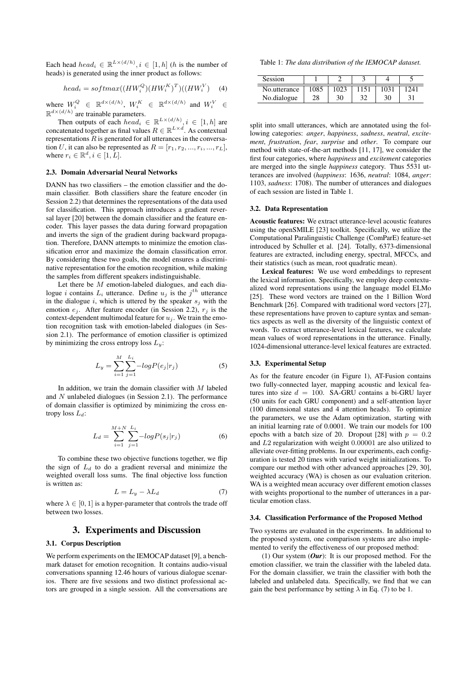Each head  $head_i \in \mathbb{R}^{L \times (d/h)}$ ,  $i \in [1, h]$  (*h* is the number of heads) is generated using the inner product as follows:

$$
head_i = softmax((HW_i^Q)(HW_i^K)^T)((HW_i^V) \quad (4)
$$

where  $W_i^Q \in \mathbb{R}^{d \times (d/h)}$ ,  $W_i^K \in \mathbb{R}^{d \times (d/h)}$  and  $W_i^V \in$  $\mathbb{R}^{d \times (d/h)}$  are trainable parameters.

Then outputs of each  $head_i \in \mathbb{R}^{L \times (d/h)}$ ,  $i \in [1, h]$  are concatenated together as final values  $R \in \mathbb{R}^{L \times d}$ . As contextual representations  $R$  is generated for all utterances in the conversation U, it can also be represented as  $R = [r_1, r_2, ..., r_i, ..., r_L]$ , where  $r_i \in \mathbb{R}^d, i \in [1, L]$ .

#### 2.3. Domain Adversarial Neural Networks

DANN has two classifiers – the emotion classifier and the domain classifier. Both classifiers share the feature encoder (in Session 2.2) that determines the representations of the data used for classification. This approach introduces a gradient reversal layer [20] between the domain classifier and the feature encoder. This layer passes the data during forward propagation and inverts the sign of the gradient during backward propagation. Therefore, DANN attempts to minimize the emotion classification error and maximize the domain classification error. By considering these two goals, the model ensures a discriminative representation for the emotion recognition, while making the samples from different speakers indistinguishable.

Let there be  $M$  emotion-labeled dialogues, and each dialogue *i* contains  $L_i$  utterance. Define  $u_j$  is the  $j^{th}$  utterance in the dialogue i, which is uttered by the speaker  $s_j$  with the emotion  $e_i$ . After feature encoder (in Session 2.2),  $r_i$  is the context-dependent multimodal feature for  $u_j$ . We train the emotion recognition task with emotion-labeled dialogues (in Session 2.1). The performance of emotion classifier is optimized by minimizing the cross entropy loss  $L_y$ :

$$
L_y = \sum_{i=1}^{M} \sum_{j=1}^{L_i} -logP(e_j|r_j)
$$
 (5)

In addition, we train the domain classifier with  $M$  labeled and N unlabeled dialogues (in Session 2.1). The performance of domain classifier is optimized by minimizing the cross entropy loss  $L_d$ :

$$
L_d = \sum_{i=1}^{M+N} \sum_{j=1}^{L_i} -logP(s_j|r_j)
$$
 (6)

To combine these two objective functions together, we flip the sign of  $L_d$  to do a gradient reversal and minimize the weighted overall loss sums. The final objective loss function is written as:

$$
L = L_y - \lambda L_d \tag{7}
$$

where  $\lambda \in [0, 1]$  is a hyper-parameter that controls the trade off between two losses.

## 3. Experiments and Discussion

#### 3.1. Corpus Description

We perform experiments on the IEMOCAP dataset [9], a benchmark dataset for emotion recognition. It contains audio-visual conversations spanning 12.46 hours of various dialogue scenarios. There are five sessions and two distinct professional actors are grouped in a single session. All the conversations are

Table 1: *The data distribution of the IEMOCAP dataset.*

| Session      |      |    |    |    |  |
|--------------|------|----|----|----|--|
| No.utterance | 1085 |    |    |    |  |
| No.dialogue  | 28   | 30 | າາ | 30 |  |

split into small utterances, which are annotated using the following categories: *anger*, *happiness*, *sadness*, *neutral*, *excitement*, *frustration*, *fear*, *surprise* and *other*. To compare our method with state-of-the-art methods [11, 17], we consider the first four categories, where *happiness* and *excitement* categories are merged into the single *happiness* category. Thus 5531 utterances are involved (*happiness*: 1636, *neutral*: 1084, *anger*: 1103, *sadness*: 1708). The number of utterances and dialogues of each session are listed in Table 1.

#### 3.2. Data Representation

Acoustic features: We extract utterance-level acoustic features using the openSMILE [23] toolkit. Specifically, we utilize the Computational Paralinguistic Challenge (ComParE) feature-set introduced by Schuller et al. [24]. Totally, 6373-dimensional features are extracted, including energy, spectral, MFCCs, and their statistics (such as mean, root quadratic mean).

Lexical features: We use word embeddings to represent the lexical information. Specifically, we employ deep contextualized word representations using the language model ELMo [25]. These word vectors are trained on the 1 Billion Word Benchmark [26]. Compared with traditional word vectors [27], these representations have proven to capture syntax and semantics aspects as well as the diversity of the linguistic context of words. To extract utterance-level lexical features, we calculate mean values of word representations in the utterance. Finally, 1024-dimensional utterance-level lexical features are extracted.

### 3.3. Experimental Setup

As for the feature encoder (in Figure 1), AT-Fusion contains two fully-connected layer, mapping acoustic and lexical features into size  $d = 100$ . SA-GRU contains a bi-GRU layer (50 units for each GRU component) and a self-attention layer (100 dimensional states and 4 attention heads). To optimize the parameters, we use the Adam optimization, starting with an initial learning rate of 0.0001. We train our models for 100 epochs with a batch size of 20. Dropout [28] with  $p = 0.2$ and L2 regularization with weight 0.00001 are also utilized to alleviate over-fitting problems. In our experiments, each configuration is tested 20 times with varied weight initializations. To compare our method with other advanced approaches [29, 30], weighted accuracy (WA) is chosen as our evaluation criterion. WA is a weighted mean accuracy over different emotion classes with weights proportional to the number of utterances in a particular emotion class.

#### 3.4. Classification Performance of the Proposed Method

Two systems are evaluated in the experiments. In additional to the proposed system, one comparison systems are also implemented to verify the effectiveness of our proposed method:

(1) Our system (*Our*): It is our proposed method. For the emotion classifier, we train the classifier with the labeled data. For the domain classifier, we train the classifier with both the labeled and unlabeled data. Specifically, we find that we can gain the best performance by setting  $\lambda$  in Eq. (7) to be 1.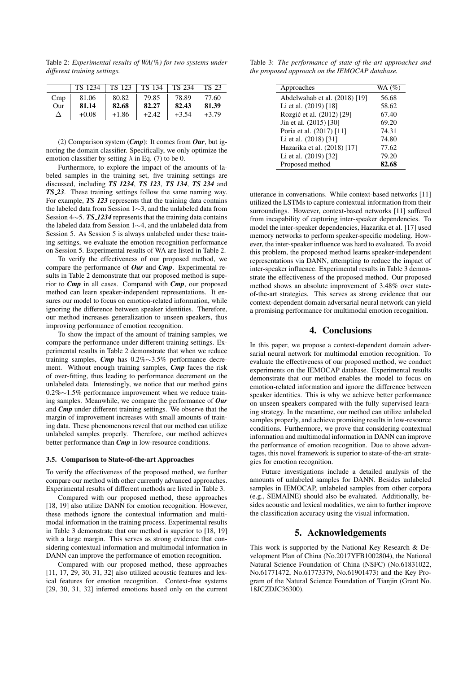TS 1234 TS 123 TS 134 TS 234 TS 23 Cmp | 81.06 | 80.82 | 79.85 | 78.89 | 77.60 Our | 81.14 | 82.68 | 82.27 | 82.43 | 81.39

 $\Delta$  +0.08 +1.86 +2.42 +3.54 +3.79

(2) Comparison system (*Cmp*): It comes from *Our*, but ignoring the domain classifier. Specifically, we only optimize the emotion classifier by setting  $\lambda$  in Eq. (7) to be 0.

Furthermore, to explore the impact of the amounts of labeled samples in the training set, five training settings are discussed, including *TS 1234*, *TS 123*, *TS 134*, *TS 234* and *TS 23*. These training settings follow the same naming way. For example, *TS 123* represents that the training data contains the labeled data from Session 1∼3, and the unlabeled data from Session 4∼5. *TS 1234* represents that the training data contains the labeled data from Session 1∼4, and the unlabeled data from Session 5. As Session 5 is always unlabeled under these training settings, we evaluate the emotion recognition performance on Session 5. Experimental results of WA are listed in Table 2.

To verify the effectiveness of our proposed method, we compare the performance of *Our* and *Cmp*. Experimental results in Table 2 demonstrate that our proposed method is superior to *Cmp* in all cases. Compared with *Cmp*, our proposed method can learn speaker-independent representations. It ensures our model to focus on emotion-related information, while ignoring the difference between speaker identities. Therefore, our method increases generalization to unseen speakers, thus improving performance of emotion recognition.

To show the impact of the amount of training samples, we compare the performance under different training settings. Experimental results in Table 2 demonstrate that when we reduce training samples, *Cmp* has 0.2%∼3.5% performance decrement. Without enough training samples, *Cmp* faces the risk of over-fitting, thus leading to performance decrement on the unlabeled data. Interestingly, we notice that our method gains 0.2%∼1.5% performance improvement when we reduce training samples. Meanwhile, we compare the performance of *Our* and *Cmp* under different training settings. We observe that the margin of improvement increases with small amounts of training data. These phenomenons reveal that our method can utilize unlabeled samples properly. Therefore, our method achieves better performance than *Cmp* in low-resource conditions.

#### 3.5. Comparison to State-of-the-art Approaches

To verify the effectiveness of the proposed method, we further compare our method with other currently advanced approaches. Experimental results of different methods are listed in Table 3.

Compared with our proposed method, these approaches [18, 19] also utilize DANN for emotion recognition. However, these methods ignore the contextual information and multimodal information in the training process. Experimental results in Table 3 demonstrate that our method is superior to [18, 19] with a large margin. This serves as strong evidence that considering contextual information and multimodal information in DANN can improve the performance of emotion recognition.

Compared with our proposed method, these approaches [11, 17, 29, 30, 31, 32] also utilized acoustic features and lexical features for emotion recognition. Context-free systems [29, 30, 31, 32] inferred emotions based only on the current

Table 3: *The performance of state-of-the-art approaches and the proposed approach on the IEMOCAP database.*

| Approaches                    | WA $(\%)$ |
|-------------------------------|-----------|
| Abdelwahab et al. (2018) [19] | 56.68     |
| Li et al. (2019) [18]         | 58.62     |
| Rozgić et al. (2012) [29]     | 67.40     |
| Jin et al. (2015) [30]        | 69.20     |
| Poria et al. (2017) [11]      | 74.31     |
| Li et al. (2018) [31]         | 74.80     |
| Hazarika et al. (2018) [17]   | 77.62     |
| Li et al. (2019) [32]         | 79.20     |
| Proposed method               | 82.68     |

utterance in conversations. While context-based networks [11] utilized the LSTMs to capture contextual information from their surroundings. However, context-based networks [11] suffered from incapability of capturing inter-speaker dependencies. To model the inter-speaker dependencies, Hazarika et al. [17] used memory networks to perform speaker-specific modeling. However, the inter-speaker influence was hard to evaluated. To avoid this problem, the proposed method learns speaker-independent representations via DANN, attempting to reduce the impact of inter-speaker influence. Experimental results in Table 3 demonstrate the effectiveness of the proposed method. Our proposed method shows an absolute improvement of 3.48% over stateof-the-art strategies. This serves as strong evidence that our context-dependent domain adversarial neural network can yield a promising performance for multimodal emotion recognition.

# 4. Conclusions

In this paper, we propose a context-dependent domain adversarial neural network for multimodal emotion recognition. To evaluate the effectiveness of our proposed method, we conduct experiments on the IEMOCAP database. Experimental results demonstrate that our method enables the model to focus on emotion-related information and ignore the difference between speaker identities. This is why we achieve better performance on unseen speakers compared with the fully supervised learning strategy. In the meantime, our method can utilize unlabeled samples properly, and achieve promising results in low-resource conditions. Furthermore, we prove that considering contextual information and multimodal information in DANN can improve the performance of emotion recognition. Due to above advantages, this novel framework is superior to state-of-the-art strategies for emotion recognition.

Future investigations include a detailed analysis of the amounts of unlabeled samples for DANN. Besides unlabeled samples in IEMOCAP, unlabeled samples from other corpora (e.g., SEMAINE) should also be evaluated. Additionally, besides acoustic and lexical modalities, we aim to further improve the classification accuracy using the visual information.

## 5. Acknowledgements

This work is supported by the National Key Research & Development Plan of China (No.2017YFB1002804), the National Natural Science Foundation of China (NSFC) (No.61831022, No.61771472, No.61773379, No.61901473) and the Key Program of the Natural Science Foundation of Tianjin (Grant No. 18JCZDJC36300).

Table 2: *Experimental results of WA(%) for two systems under different training settings.*